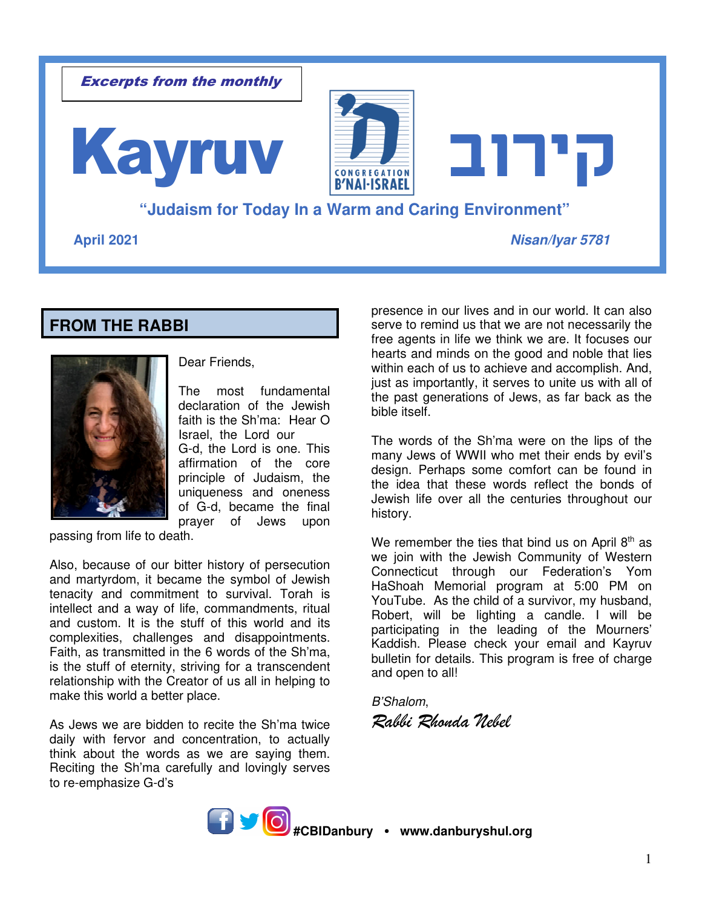

# **FROM THE RABBI**



Dear Friends,

The most fundamental declaration of the Jewish faith is the Sh'ma: Hear O Israel, the Lord our G-d, the Lord is one. This affirmation of the core principle of Judaism, the uniqueness and oneness of G-d, became the final prayer of Jews upon

passing from life to death.

Also, because of our bitter history of persecution and martyrdom, it became the symbol of Jewish tenacity and commitment to survival. Torah is intellect and a way of life, commandments, ritual and custom. It is the stuff of this world and its complexities, challenges and disappointments. Faith, as transmitted in the 6 words of the Sh'ma, is the stuff of eternity, striving for a transcendent relationship with the Creator of us all in helping to make this world a better place.

As Jews we are bidden to recite the Sh'ma twice daily with fervor and concentration, to actually think about the words as we are saying them. Reciting the Sh'ma carefully and lovingly serves to re-emphasize G-d's

presence in our lives and in our world. It can also serve to remind us that we are not necessarily the free agents in life we think we are. It focuses our hearts and minds on the good and noble that lies within each of us to achieve and accomplish. And, just as importantly, it serves to unite us with all of the past generations of Jews, as far back as the bible itself.

The words of the Sh'ma were on the lips of the many Jews of WWII who met their ends by evil's design. Perhaps some comfort can be found in the idea that these words reflect the bonds of Jewish life over all the centuries throughout our history.

We remember the ties that bind us on April  $8<sup>th</sup>$  as we join with the Jewish Community of Western Connecticut through our Federation's Yom HaShoah Memorial program at 5:00 PM on YouTube. As the child of a survivor, my husband, Robert, will be lighting a candle. I will be participating in the leading of the Mourners' Kaddish. Please check your email and Kayruv bulletin for details. This program is free of charge and open to all!

*B'Shalom*, *Rabbi Rhonda Nebel* 

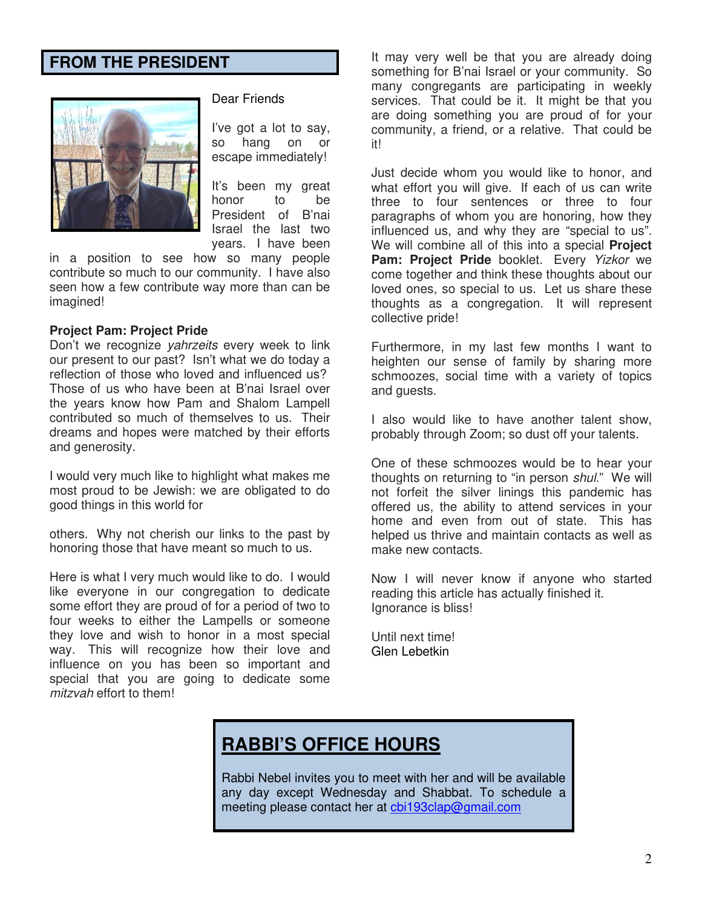## **FROM THE PRESIDENT**



#### Dear Friends

I've got a lot to say, so hang on or escape immediately!

It's been my great honor to be President of B'nai Israel the last two years. I have been

in a position to see how so many people contribute so much to our community. I have also seen how a few contribute way more than can be imagined!

#### **Project Pam: Project Pride**

Don't we recognize *yahrzeits* every week to link our present to our past? Isn't what we do today a reflection of those who loved and influenced us? Those of us who have been at B'nai Israel over the years know how Pam and Shalom Lampell contributed so much of themselves to us. Their dreams and hopes were matched by their efforts and generosity.

I would very much like to highlight what makes me most proud to be Jewish: we are obligated to do good things in this world for

others. Why not cherish our links to the past by honoring those that have meant so much to us.

Here is what I very much would like to do. I would like everyone in our congregation to dedicate some effort they are proud of for a period of two to four weeks to either the Lampells or someone they love and wish to honor in a most special way. This will recognize how their love and influence on you has been so important and special that you are going to dedicate some *mitzvah* effort to them!

It may very well be that you are already doing something for B'nai Israel or your community. So many congregants are participating in weekly services. That could be it. It might be that you are doing something you are proud of for your community, a friend, or a relative. That could be it!

Just decide whom you would like to honor, and what effort you will give. If each of us can write three to four sentences or three to four paragraphs of whom you are honoring, how they influenced us, and why they are "special to us". We will combine all of this into a special **Project Pam: Project Pride** booklet. Every *Yizkor* we come together and think these thoughts about our loved ones, so special to us. Let us share these thoughts as a congregation. It will represent collective pride!

Furthermore, in my last few months I want to heighten our sense of family by sharing more schmoozes, social time with a variety of topics and guests.

I also would like to have another talent show, probably through Zoom; so dust off your talents.

One of these schmoozes would be to hear your thoughts on returning to "in person *shul*." We will not forfeit the silver linings this pandemic has offered us, the ability to attend services in your home and even from out of state. This has helped us thrive and maintain contacts as well as make new contacts.

Now I will never know if anyone who started reading this article has actually finished it. Ignorance is bliss!

Until next time! Glen Lebetkin

# **RABBI'S OFFICE HOURS**

Rabbi Nebel invites you to meet with her and will be available any day except Wednesday and Shabbat. To schedule a meeting please contact her at cbi193clap@gmail.com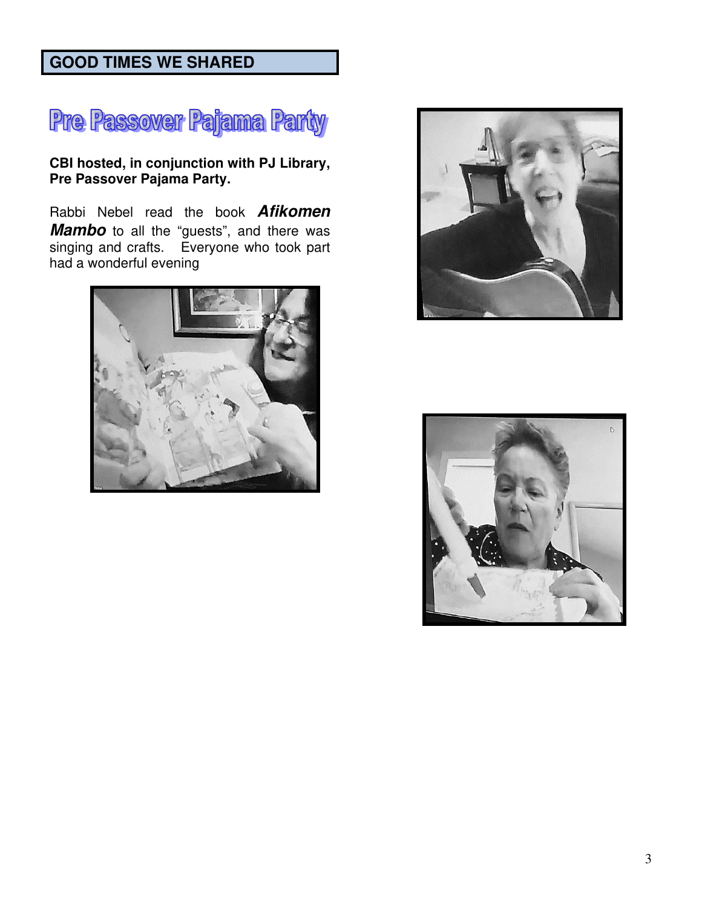# **GOOD TIMES WE SHARED**



**CBI hosted, in conjunction with PJ Library, Pre Passover Pajama Party.** 

Rabbi Nebel read the book **Afikomen Mambo** to all the "guests", and there was singing and crafts. Everyone who took part had a wonderful evening





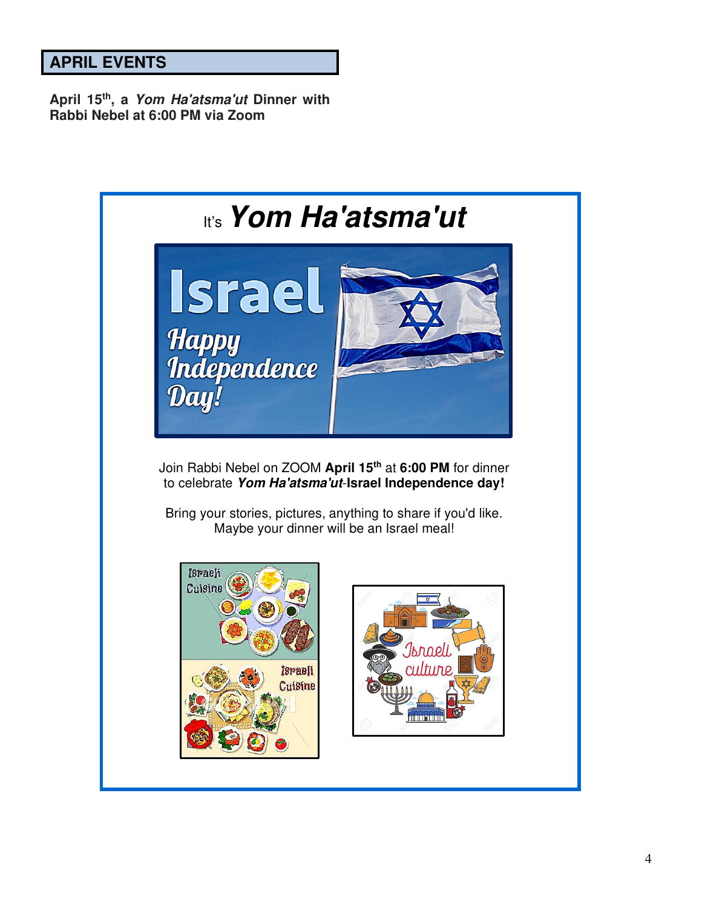# **APRIL EVENTS**

**April 15th, a Yom Ha'atsma'ut Dinner with Rabbi Nebel at 6:00 PM via Zoom**

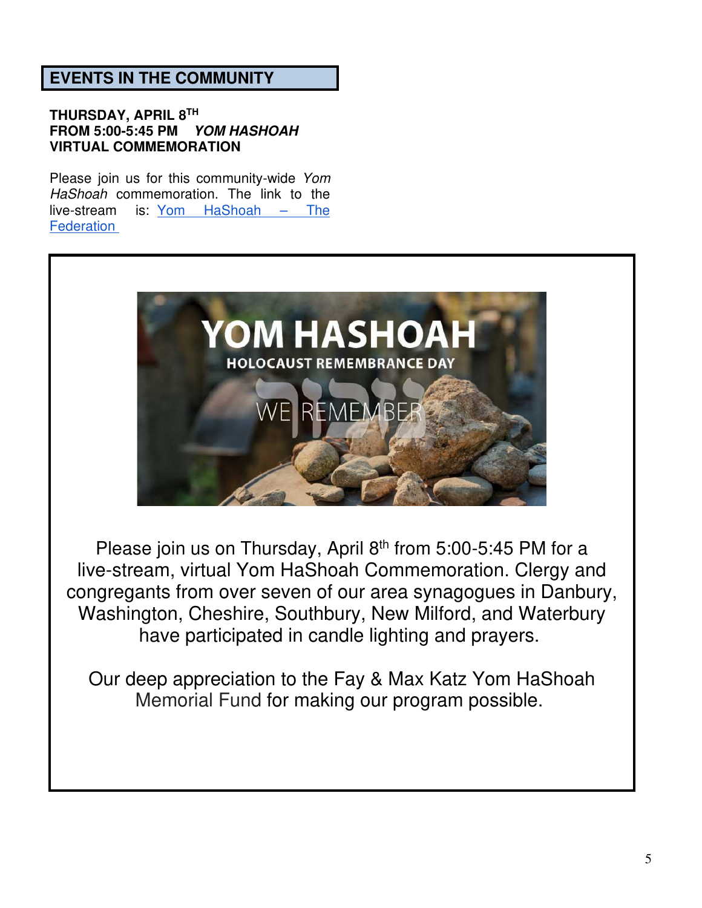# **EVENTS IN THE COMMUNITY**

### **THURSDAY, APRIL 8TH FROM 5:00-5:45 PM YOM HASHOAH VIRTUAL COMMEMORATION**

Please join us for this community-wide *Yom HaShoah* commemoration. The link to the live-stream is: Yom HaShoah – The **Federation** 



Please join us on Thursday, April  $8<sup>th</sup>$  from 5:00-5:45 PM for a live-stream, virtual Yom HaShoah Commemoration. Clergy and congregants from over seven of our area synagogues in Danbury, Washington, Cheshire, Southbury, New Milford, and Waterbury have participated in candle lighting and prayers.

Our deep appreciation to the Fay & Max Katz Yom HaShoah Memorial Fund for making our program possible.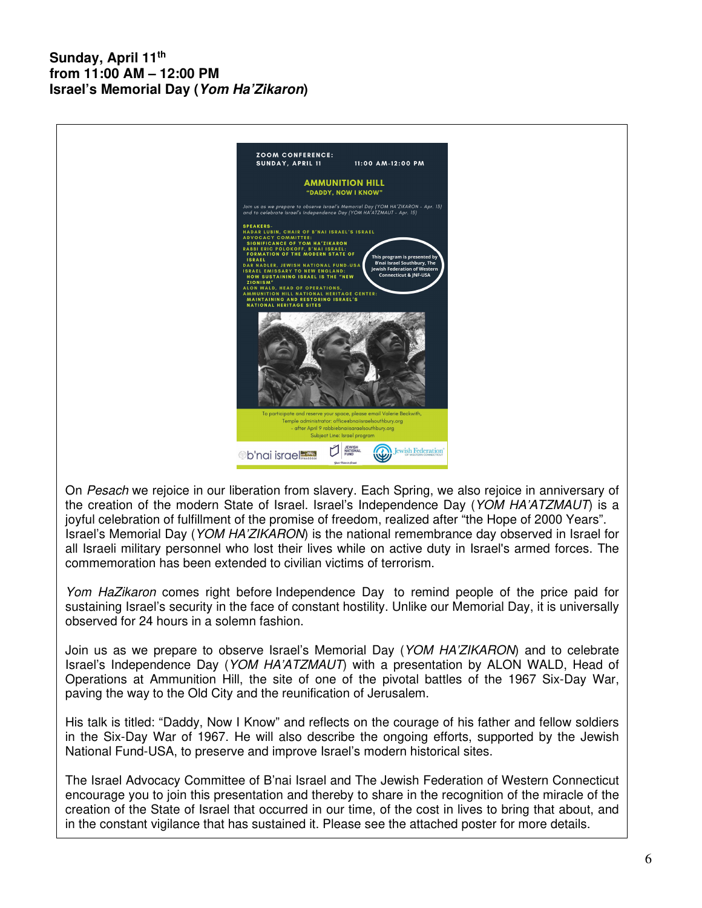### **Sunday, April 11th from 11:00 AM – 12:00 PM Israel's Memorial Day (Yom Ha'Zikaron)**



On *Pesach* we rejoice in our liberation from slavery. Each Spring, we also rejoice in anniversary of the creation of the modern State of Israel. Israel's Independence Day (*YOM HA'ATZMAUT*) is a joyful celebration of fulfillment of the promise of freedom, realized after "the Hope of 2000 Years". Israel's Memorial Day (*YOM HA'ZIKARON*) is the national remembrance day observed in Israel for all Israeli military personnel who lost their lives while on active duty in Israel's armed forces. The commemoration has been extended to civilian victims of terrorism.

*Yom HaZikaron* comes right before Independence Day to remind people of the price paid for sustaining Israel's security in the face of constant hostility. Unlike our Memorial Day, it is universally observed for 24 hours in a solemn fashion.

Join us as we prepare to observe Israel's Memorial Day (*YOM HA'ZIKARON*) and to celebrate Israel's Independence Day (*YOM HA'ATZMAUT*) with a presentation by ALON WALD, Head of Operations at Ammunition Hill, the site of one of the pivotal battles of the 1967 Six-Day War, paving the way to the Old City and the reunification of Jerusalem.

His talk is titled: "Daddy, Now I Know" and reflects on the courage of his father and fellow soldiers in the Six-Day War of 1967. He will also describe the ongoing efforts, supported by the Jewish National Fund-USA, to preserve and improve Israel's modern historical sites.

The Israel Advocacy Committee of B'nai Israel and The Jewish Federation of Western Connecticut encourage you to join this presentation and thereby to share in the recognition of the miracle of the creation of the State of Israel that occurred in our time, of the cost in lives to bring that about, and in the constant vigilance that has sustained it. Please see the attached poster for more details.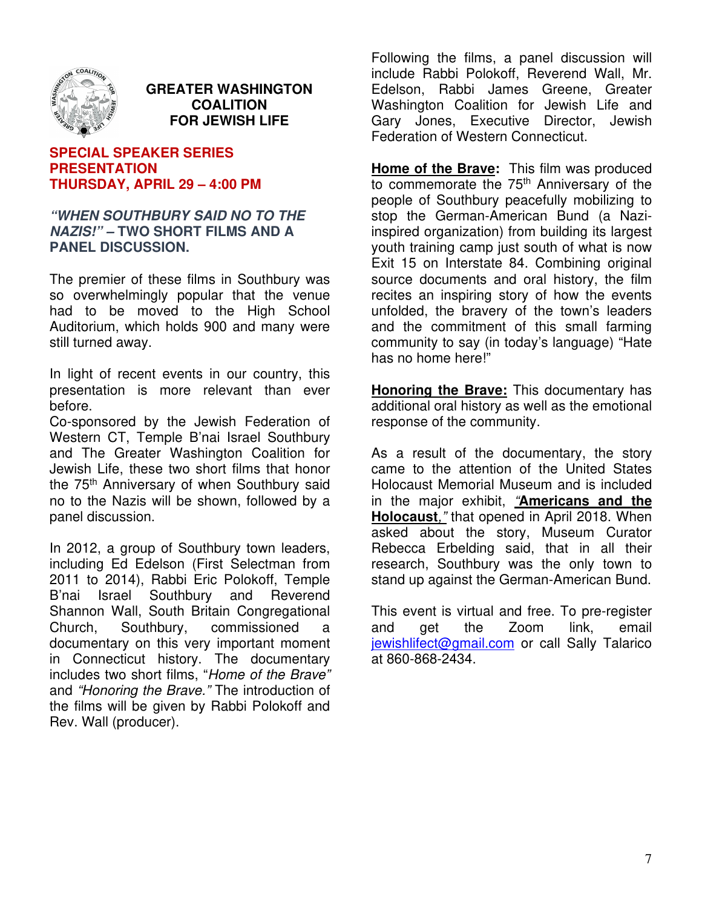

### **GREATER WASHINGTON COALITION FOR JEWISH LIFE**

#### **SPECIAL SPEAKER SERIES PRESENTATION THURSDAY, APRIL 29 – 4:00 PM**

#### **"WHEN SOUTHBURY SAID NO TO THE NAZIS!" – TWO SHORT FILMS AND A PANEL DISCUSSION.**

The premier of these films in Southbury was so overwhelmingly popular that the venue had to be moved to the High School Auditorium, which holds 900 and many were still turned away.

In light of recent events in our country, this presentation is more relevant than ever before.

Co-sponsored by the Jewish Federation of Western CT, Temple B'nai Israel Southbury and The Greater Washington Coalition for Jewish Life, these two short films that honor the 75<sup>th</sup> Anniversary of when Southbury said no to the Nazis will be shown, followed by a panel discussion.

In 2012, a group of Southbury town leaders, including Ed Edelson (First Selectman from 2011 to 2014), Rabbi Eric Polokoff, Temple B'nai Israel Southbury and Reverend Shannon Wall, South Britain Congregational Church, Southbury, commissioned a documentary on this very important moment in Connecticut history. The documentary includes two short films, "*Home of the Brave"*  and *"Honoring the Brave."* The introduction of the films will be given by Rabbi Polokoff and Rev. Wall (producer).

Following the films, a panel discussion will include Rabbi Polokoff, Reverend Wall, Mr. Edelson, Rabbi James Greene, Greater Washington Coalition for Jewish Life and Gary Jones, Executive Director, Jewish Federation of Western Connecticut.

**Home of the Brave:** This film was produced to commemorate the 75<sup>th</sup> Anniversary of the people of Southbury peacefully mobilizing to stop the German-American Bund (a Naziinspired organization) from building its largest youth training camp just south of what is now Exit 15 on Interstate 84. Combining original source documents and oral history, the film recites an inspiring story of how the events unfolded, the bravery of the town's leaders and the commitment of this small farming community to say (in today's language) "Hate has no home here!"

**Honoring the Brave:** This documentary has additional oral history as well as the emotional response of the community.

As a result of the documentary, the story came to the attention of the United States Holocaust Memorial Museum and is included in the major exhibit, *"***Americans and the Holocaust***,"* that opened in April 2018. When asked about the story, Museum Curator Rebecca Erbelding said, that in all their research, Southbury was the only town to stand up against the German-American Bund.

This event is virtual and free. To pre-register and get the Zoom link, email jewishlifect@gmail.com or call Sally Talarico at 860-868-2434.